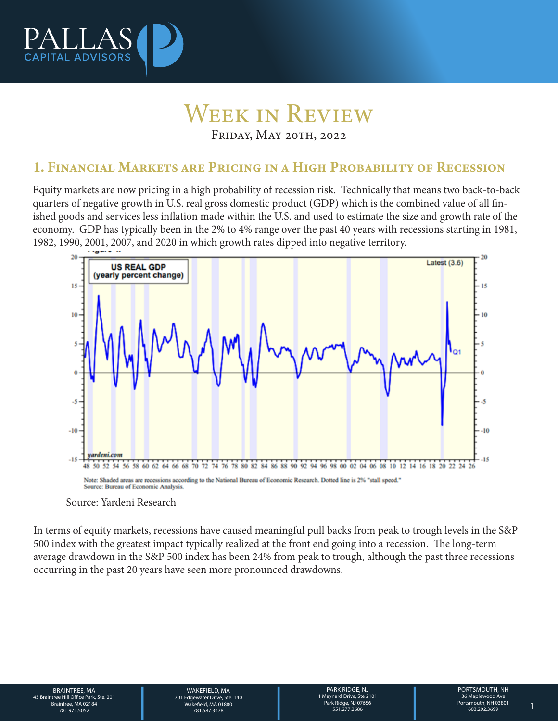

## Week in Review Friday, May 20th, 2022

### 1. Financial Markets are Pricing in a High Probability of Recession

Equity markets are now pricing in a high probability of recession risk. Technically that means two back-to-back quarters of negative growth in U.S. real gross domestic product (GDP) which is the combined value of all finished goods and services less inflation made within the U.S. and used to estimate the size and growth rate of the economy. GDP has typically been in the 2% to 4% range over the past 40 years with recessions starting in 1981, 1982, 1990, 2001, 2007, and 2020 in which growth rates dipped into negative territory.



#### Source: Yardeni Research

In terms of equity markets, recessions have caused meaningful pull backs from peak to trough levels in the S&P 500 index with the greatest impact typically realized at the front end going into a recession. The long-term average drawdown in the S&P 500 index has been 24% from peak to trough, although the past three recessions occurring in the past 20 years have seen more pronounced drawdowns.

BRAINTREE, MA 45 Braintree Hill Office Park, Ste. 201 Braintree, MA 02184

WAKEFIELD, MA<br>
701 Edgewater Drive, Ste. 140<br>
28 Wakefield, MA 01880<br>
781.587.3478<br>
PORTSMOUTH, NH<br>
28 Maplewood Ave Park Ridge, NJ 07656<br>
281.51.277.2686<br>
281.51.277.2686<br>
28 Maplewood Ave Park Ridge, NJ 07656<br>
281.51.277 WAKFFIFI D. MA 701 Edgewater Drive, Ste. 140 Wakefield, MA 01880 781.587.3478 781.971.5052 1

PARK RIDGE, NJ 1 Maynard Drive, Ste 2101 Park Ridge, NJ 07656 551.277.2686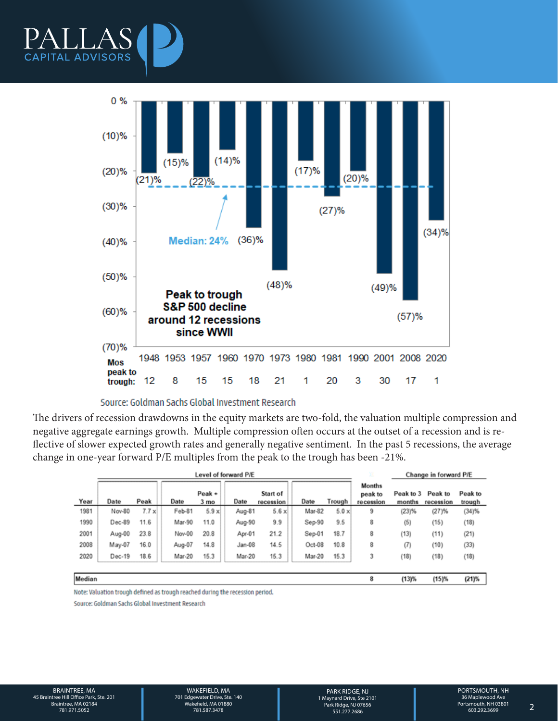



#### Source: Goldman Sachs Global Investment Research

The drivers of recession drawdowns in the equity markets are two-fold, the valuation multiple compression and negative aggregate earnings growth. Multiple compression often occurs at the outset of a recession and is reflective of slower expected growth rates and generally negative sentiment. In the past 5 recessions, the average change in one-year forward P/E multiples from the peak to the trough has been -21%.

|        | Level of forward P/E |              |        |                             |          |                       |        |              | x                                     | Change in forward P/E |                      |                   |
|--------|----------------------|--------------|--------|-----------------------------|----------|-----------------------|--------|--------------|---------------------------------------|-----------------------|----------------------|-------------------|
| Year   | Date                 | Peak         | Date   | $Peak +$<br>3 <sub>mo</sub> | Date     | Start of<br>recession | Date   | Trough       | <b>Months</b><br>peak to<br>recession | Peak to 3<br>months   | Peak to<br>recession | Peak to<br>trough |
| 1981   | Nov-80               | $7.7 \times$ | Feb-81 | $5.9 \times$                | Aug-81   | $5.6 \times$          | Mar-82 | $5.0 \times$ | 9                                     | (23)%                 | (27)%                | (34)%             |
| 1990   | Dec-89               | 11.6         | Mar-90 | 11.0                        | Aug-90   | 9.9                   | Sep-90 | 9.5          | 8                                     | (5)                   | (15)                 | (18)              |
| 2001   | Aug-00               | 23.8         | Nov-00 | 20.8                        | Apr-01   | 21.2                  | Sep-01 | 18.7         | 8                                     | (13)                  | (11)                 | (21)              |
| 2008   | May-07               | 16.0         | Aug-07 | 14.8                        | $Jan-08$ | 14.5                  | Oct-08 | 10.8         | 8                                     | (7)                   | (10)                 | (33)              |
| 2020   | Dec-19               | 18.6         | Mar-20 | 15.3                        | Mar-20   | 15.3                  | Mar-20 | 15.3         | 3                                     | (18)                  | (18)                 | (18)              |
|        |                      |              |        |                             |          |                       |        |              |                                       |                       |                      |                   |
| Median |                      |              |        |                             |          |                       |        |              | 8                                     | (13)%                 | (15)%                | $(21)\%$          |

Note: Valuation trough defined as trough reached during the recession period.

Source: Goldman Sachs Global Investment Research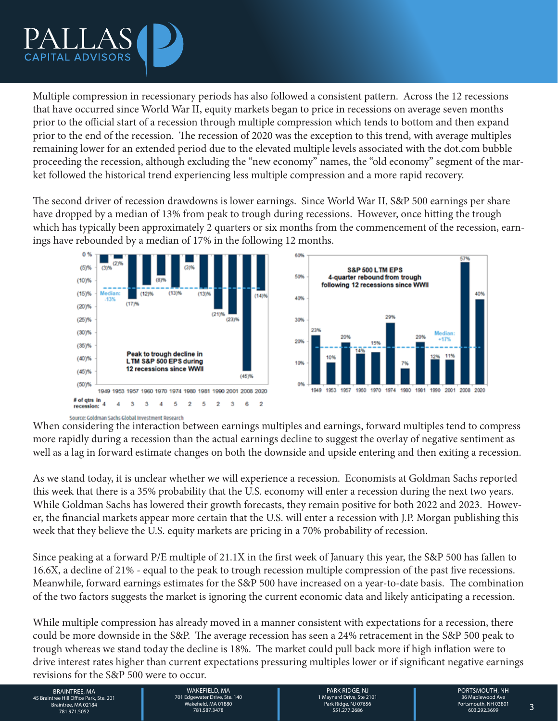

Multiple compression in recessionary periods has also followed a consistent pattern. Across the 12 recessions that have occurred since World War II, equity markets began to price in recessions on average seven months prior to the official start of a recession through multiple compression which tends to bottom and then expand prior to the end of the recession. The recession of 2020 was the exception to this trend, with average multiples remaining lower for an extended period due to the elevated multiple levels associated with the dot.com bubble proceeding the recession, although excluding the "new economy" names, the "old economy" segment of the market followed the historical trend experiencing less multiple compression and a more rapid recovery.

The second driver of recession drawdowns is lower earnings. Since World War II, S&P 500 earnings per share have dropped by a median of 13% from peak to trough during recessions. However, once hitting the trough which has typically been approximately 2 quarters or six months from the commencement of the recession, earnings have rebounded by a median of 17% in the following 12 months.



Source: Goldman Sachs Global Investment Research When considering the interaction between earnings multiples and earnings, forward multiples tend to compress more rapidly during a recession than the actual earnings decline to suggest the overlay of negative sentiment as well as a lag in forward estimate changes on both the downside and upside entering and then exiting a recession.

As we stand today, it is unclear whether we will experience a recession. Economists at Goldman Sachs reported this week that there is a 35% probability that the U.S. economy will enter a recession during the next two years. While Goldman Sachs has lowered their growth forecasts, they remain positive for both 2022 and 2023. However, the financial markets appear more certain that the U.S. will enter a recession with J.P. Morgan publishing this week that they believe the U.S. equity markets are pricing in a 70% probability of recession.

Since peaking at a forward P/E multiple of 21.1X in the first week of January this year, the S&P 500 has fallen to 16.6X, a decline of 21% - equal to the peak to trough recession multiple compression of the past five recessions. Meanwhile, forward earnings estimates for the S&P 500 have increased on a year-to-date basis. The combination of the two factors suggests the market is ignoring the current economic data and likely anticipating a recession.

While multiple compression has already moved in a manner consistent with expectations for a recession, there could be more downside in the S&P. The average recession has seen a 24% retracement in the S&P 500 peak to trough whereas we stand today the decline is 18%. The market could pull back more if high inflation were to drive interest rates higher than current expectations pressuring multiples lower or if significant negative earnings revisions for the S&P 500 were to occur.

BRAINTREE, MA MAKEFIELD, MA MAKEFIELD, MA PARK RIDGE, NJ PORTSMOUTH, NH<br>26 Braintree Hill Office Park, Ste. 201<br>26 Braintree, MA 02184 Mayara May and Drive, Ste. 140<br>281.971.5052 781.971.5052 781.587.3478 731.97556 781.971 BRAINTREE, MA 45 Braintree Hill Office Park, Ste. 201 Braintree, MA 02184

WAKEFIELD, MA 701 Edgewater Drive, Ste. 140 Wakefield, MA 01880 781.587.3478 781.971.5052 3

PARK RIDGE, NJ 1 Maynard Drive, Ste 2101 Park Ridge, NJ 07656 551.277.2686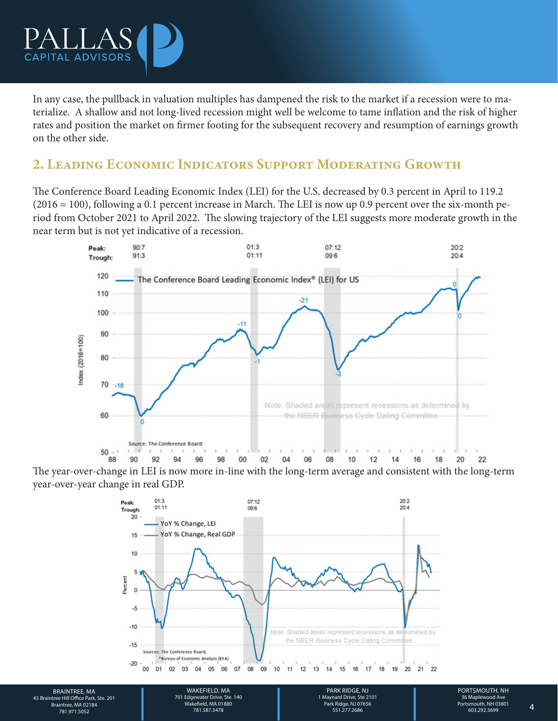

In any case, the pullback in valuation multiples has dampened the risk to the market if a recession were to materialize. A shallow and not long-lived recession might well be welcome to tame inflation and the risk of higher rates and position the market on firmer footing for the subsequent recovery and resumption of earnings growth on the other side.

## 2. Leading Economic Indicators Support Moderating Growth

The Conference Board Leading Economic Index (LEI) for the U.S. decreased by 0.3 percent in April to 119.2 (2016 = 100), following a 0.1 percent increase in March. The LEI is now up 0.9 percent over the six-month period from October 2021 to April 2022. The slowing trajectory of the LEI suggests more moderate growth in the near term but is not yet indicative of a recession.



The year-over-change in LEI is now more in-line with the long-term average and consistent with the long-term year-over-year change in real GDP.



BRAINTREE, MA 45 Braintree Hill Office Park, Ste. 201 Braintree, MA 02184

701 Edgewater Drive, Ste. 140 Wakefield, MA 01880 781.587.3478

WAKEFIELD, MA<br>
701 Edgewater Drive, Ste. 140<br>
781.587.3478 100 1 Maynard Drive, Ste 2101<br>
781.587.3478 100 1 Maynard Drive, Ste 2101<br>
781.587.3478 551.277.2686 603.292.3699 PARK RIDGE, NJ 1 Maynard Drive, Ste 2101 Park Ridge, NJ 07656 551.277.2686 781.971.5052 4